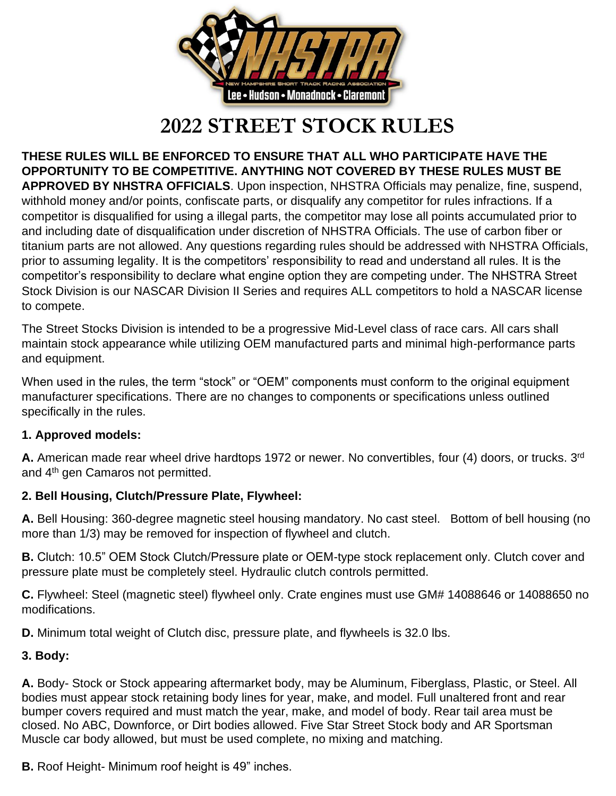

# **2022 STREET STOCK RULES**

**THESE RULES WILL BE ENFORCED TO ENSURE THAT ALL WHO PARTICIPATE HAVE THE OPPORTUNITY TO BE COMPETITIVE. ANYTHING NOT COVERED BY THESE RULES MUST BE APPROVED BY NHSTRA OFFICIALS**. Upon inspection, NHSTRA Officials may penalize, fine, suspend, withhold money and/or points, confiscate parts, or disqualify any competitor for rules infractions. If a competitor is disqualified for using a illegal parts, the competitor may lose all points accumulated prior to and including date of disqualification under discretion of NHSTRA Officials. The use of carbon fiber or titanium parts are not allowed. Any questions regarding rules should be addressed with NHSTRA Officials, prior to assuming legality. It is the competitors' responsibility to read and understand all rules. It is the competitor's responsibility to declare what engine option they are competing under. The NHSTRA Street Stock Division is our NASCAR Division II Series and requires ALL competitors to hold a NASCAR license to compete.

The Street Stocks Division is intended to be a progressive Mid-Level class of race cars. All cars shall maintain stock appearance while utilizing OEM manufactured parts and minimal high-performance parts and equipment.

When used in the rules, the term "stock" or "OEM" components must conform to the original equipment manufacturer specifications. There are no changes to components or specifications unless outlined specifically in the rules.

## **1. Approved models:**

A. American made rear wheel drive hardtops 1972 or newer. No convertibles, four (4) doors, or trucks. 3<sup>rd</sup> and 4th gen Camaros not permitted.

## **2. Bell Housing, Clutch/Pressure Plate, Flywheel:**

**A.** Bell Housing: 360-degree magnetic steel housing mandatory. No cast steel. Bottom of bell housing (no more than 1/3) may be removed for inspection of flywheel and clutch.

**B.** Clutch: 10.5" OEM Stock Clutch/Pressure plate or OEM-type stock replacement only. Clutch cover and pressure plate must be completely steel. Hydraulic clutch controls permitted.

**C.** Flywheel: Steel (magnetic steel) flywheel only. Crate engines must use GM# 14088646 or 14088650 no modifications.

**D.** Minimum total weight of Clutch disc, pressure plate, and flywheels is 32.0 lbs.

## **3. Body:**

**A.** Body- Stock or Stock appearing aftermarket body, may be Aluminum, Fiberglass, Plastic, or Steel. All bodies must appear stock retaining body lines for year, make, and model. Full unaltered front and rear bumper covers required and must match the year, make, and model of body. Rear tail area must be closed. No ABC, Downforce, or Dirt bodies allowed. Five Star Street Stock body and AR Sportsman Muscle car body allowed, but must be used complete, no mixing and matching.

**B.** Roof Height- Minimum roof height is 49" inches.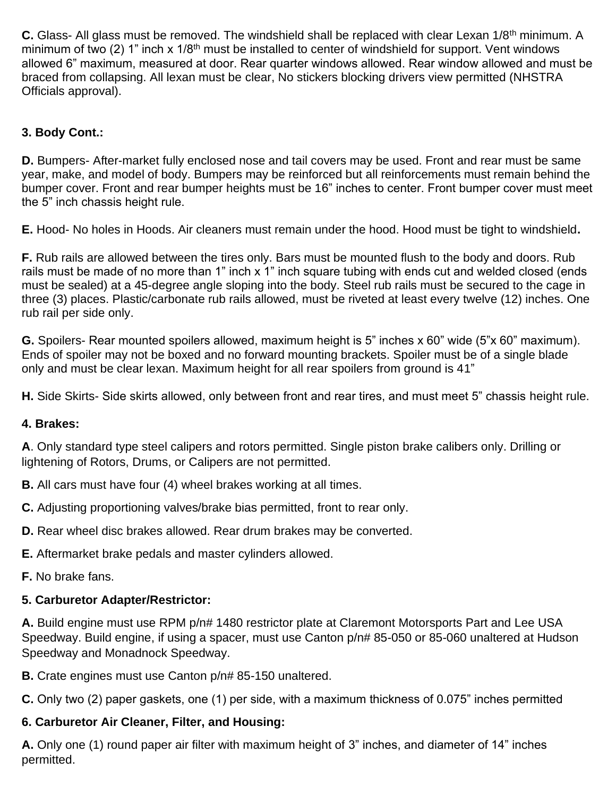**C.** Glass- All glass must be removed. The windshield shall be replaced with clear Lexan 1/8<sup>th</sup> minimum. A minimum of two (2) 1" inch x  $1/8$ <sup>th</sup> must be installed to center of windshield for support. Vent windows allowed 6" maximum, measured at door. Rear quarter windows allowed. Rear window allowed and must be braced from collapsing. All lexan must be clear, No stickers blocking drivers view permitted (NHSTRA Officials approval).

## **3. Body Cont.:**

**D.** Bumpers- After-market fully enclosed nose and tail covers may be used. Front and rear must be same year, make, and model of body. Bumpers may be reinforced but all reinforcements must remain behind the bumper cover. Front and rear bumper heights must be 16" inches to center. Front bumper cover must meet the 5" inch chassis height rule.

**E.** Hood- No holes in Hoods. Air cleaners must remain under the hood. Hood must be tight to windshield**.**

**F.** Rub rails are allowed between the tires only. Bars must be mounted flush to the body and doors. Rub rails must be made of no more than 1" inch x 1" inch square tubing with ends cut and welded closed (ends must be sealed) at a 45-degree angle sloping into the body. Steel rub rails must be secured to the cage in three (3) places. Plastic/carbonate rub rails allowed, must be riveted at least every twelve (12) inches. One rub rail per side only.

**G.** Spoilers- Rear mounted spoilers allowed, maximum height is 5" inches x 60" wide (5"x 60" maximum). Ends of spoiler may not be boxed and no forward mounting brackets. Spoiler must be of a single blade only and must be clear lexan. Maximum height for all rear spoilers from ground is 41"

**H.** Side Skirts- Side skirts allowed, only between front and rear tires, and must meet 5" chassis height rule.

#### **4. Brakes:**

**A**. Only standard type steel calipers and rotors permitted. Single piston brake calibers only. Drilling or lightening of Rotors, Drums, or Calipers are not permitted.

- **B.** All cars must have four (4) wheel brakes working at all times.
- **C.** Adjusting proportioning valves/brake bias permitted, front to rear only.
- **D.** Rear wheel disc brakes allowed. Rear drum brakes may be converted.
- **E.** Aftermarket brake pedals and master cylinders allowed.
- **F.** No brake fans.

## **5. Carburetor Adapter/Restrictor:**

**A.** Build engine must use RPM p/n# 1480 restrictor plate at Claremont Motorsports Part and Lee USA Speedway. Build engine, if using a spacer, must use Canton p/n# 85-050 or 85-060 unaltered at Hudson Speedway and Monadnock Speedway.

**B.** Crate engines must use Canton p/n# 85-150 unaltered.

**C.** Only two (2) paper gaskets, one (1) per side, with a maximum thickness of 0.075" inches permitted

# **6. Carburetor Air Cleaner, Filter, and Housing:**

**A.** Only one (1) round paper air filter with maximum height of 3" inches, and diameter of 14" inches permitted.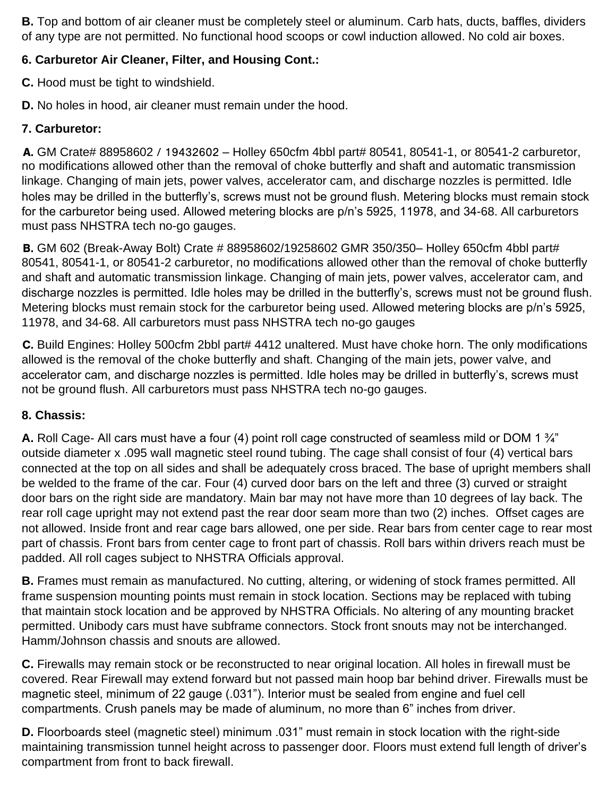**B.** Top and bottom of air cleaner must be completely steel or aluminum. Carb hats, ducts, baffles, dividers of any type are not permitted. No functional hood scoops or cowl induction allowed. No cold air boxes.

## **6. Carburetor Air Cleaner, Filter, and Housing Cont.:**

**C.** Hood must be tight to windshield.

**D.** No holes in hood, air cleaner must remain under the hood.

## **7. Carburetor:**

A. GM Crate# 88958602 / 19432602 – Holley 650cfm 4bbl part# 80541, 80541-1, or 80541-2 carburetor, no modifications allowed other than the removal of choke butterfly and shaft and automatic transmission linkage. Changing of main jets, power valves, accelerator cam, and discharge nozzles is permitted. Idle holes may be drilled in the butterfly's, screws must not be ground flush. Metering blocks must remain stock for the carburetor being used. Allowed metering blocks are p/n's 5925, 11978, and 34-68. All carburetors must pass NHSTRA tech no-go gauges.

B. GM 602 (Break-Away Bolt) Crate # 88958602/19258602 GMR 350/350– Holley 650cfm 4bbl part# 80541, 80541-1, or 80541-2 carburetor, no modifications allowed other than the removal of choke butterfly and shaft and automatic transmission linkage. Changing of main jets, power valves, accelerator cam, and discharge nozzles is permitted. Idle holes may be drilled in the butterfly's, screws must not be ground flush. Metering blocks must remain stock for the carburetor being used. Allowed metering blocks are p/n's 5925, 11978, and 34-68. All carburetors must pass NHSTRA tech no-go gauges

C. Build Engines: Holley 500cfm 2bbl part# 4412 unaltered. Must have choke horn. The only modifications allowed is the removal of the choke butterfly and shaft. Changing of the main jets, power valve, and accelerator cam, and discharge nozzles is permitted. Idle holes may be drilled in butterfly's, screws must not be ground flush. All carburetors must pass NHSTRA tech no-go gauges.

## **8. Chassis:**

**A.** Roll Cage- All cars must have a four (4) point roll cage constructed of seamless mild or DOM 1 ¾" outside diameter x .095 wall magnetic steel round tubing. The cage shall consist of four (4) vertical bars connected at the top on all sides and shall be adequately cross braced. The base of upright members shall be welded to the frame of the car. Four (4) curved door bars on the left and three (3) curved or straight door bars on the right side are mandatory. Main bar may not have more than 10 degrees of lay back. The rear roll cage upright may not extend past the rear door seam more than two (2) inches. Offset cages are not allowed. Inside front and rear cage bars allowed, one per side. Rear bars from center cage to rear most part of chassis. Front bars from center cage to front part of chassis. Roll bars within drivers reach must be padded. All roll cages subject to NHSTRA Officials approval.

**B.** Frames must remain as manufactured. No cutting, altering, or widening of stock frames permitted. All frame suspension mounting points must remain in stock location. Sections may be replaced with tubing that maintain stock location and be approved by NHSTRA Officials. No altering of any mounting bracket permitted. Unibody cars must have subframe connectors. Stock front snouts may not be interchanged. Hamm/Johnson chassis and snouts are allowed.

**C.** Firewalls may remain stock or be reconstructed to near original location. All holes in firewall must be covered. Rear Firewall may extend forward but not passed main hoop bar behind driver. Firewalls must be magnetic steel, minimum of 22 gauge (.031"). Interior must be sealed from engine and fuel cell compartments. Crush panels may be made of aluminum, no more than 6" inches from driver.

**D.** Floorboards steel (magnetic steel) minimum .031" must remain in stock location with the right-side maintaining transmission tunnel height across to passenger door. Floors must extend full length of driver's compartment from front to back firewall.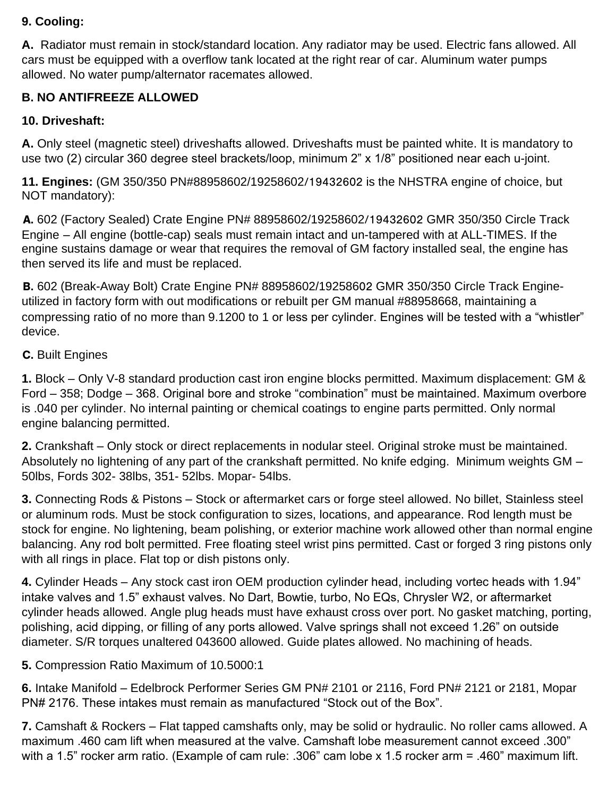#### **9. Cooling:**

**A.** Radiator must remain in stock/standard location. Any radiator may be used. Electric fans allowed. All cars must be equipped with a overflow tank located at the right rear of car. Aluminum water pumps allowed. No water pump/alternator racemates allowed.

#### **B. NO ANTIFREEZE ALLOWED**

#### **10. Driveshaft:**

**A.** Only steel (magnetic steel) driveshafts allowed. Driveshafts must be painted white. It is mandatory to use two (2) circular 360 degree steel brackets/loop, minimum 2" x 1/8" positioned near each u-joint.

**11. Engines:** (GM 350/350 PN#88958602/19258602/19432602 is the NHSTRA engine of choice, but NOT mandatory):

A. 602 (Factory Sealed) Crate Engine PN# 88958602/19258602/19432602 GMR 350/350 Circle Track Engine – All engine (bottle-cap) seals must remain intact and un-tampered with at ALL-TIMES. If the engine sustains damage or wear that requires the removal of GM factory installed seal, the engine has then served its life and must be replaced.

B. 602 (Break-Away Bolt) Crate Engine PN# 88958602/19258602 GMR 350/350 Circle Track Engineutilized in factory form with out modifications or rebuilt per GM manual #88958668, maintaining a compressing ratio of no more than 9.1200 to 1 or less per cylinder. Engines will be tested with a "whistler" device.

#### C. Built Engines

**1.** Block – Only V-8 standard production cast iron engine blocks permitted. Maximum displacement: GM & Ford – 358; Dodge – 368. Original bore and stroke "combination" must be maintained. Maximum overbore is .040 per cylinder. No internal painting or chemical coatings to engine parts permitted. Only normal engine balancing permitted.

**2.** Crankshaft – Only stock or direct replacements in nodular steel. Original stroke must be maintained. Absolutely no lightening of any part of the crankshaft permitted. No knife edging. Minimum weights GM – 50lbs, Fords 302- 38lbs, 351- 52lbs. Mopar- 54lbs.

**3.** Connecting Rods & Pistons – Stock or aftermarket cars or forge steel allowed. No billet, Stainless steel or aluminum rods. Must be stock configuration to sizes, locations, and appearance. Rod length must be stock for engine. No lightening, beam polishing, or exterior machine work allowed other than normal engine balancing. Any rod bolt permitted. Free floating steel wrist pins permitted. Cast or forged 3 ring pistons only with all rings in place. Flat top or dish pistons only.

**4.** Cylinder Heads – Any stock cast iron OEM production cylinder head, including vortec heads with 1.94" intake valves and 1.5" exhaust valves. No Dart, Bowtie, turbo, No EQs, Chrysler W2, or aftermarket cylinder heads allowed. Angle plug heads must have exhaust cross over port. No gasket matching, porting, polishing, acid dipping, or filling of any ports allowed. Valve springs shall not exceed 1.26" on outside diameter. S/R torques unaltered 043600 allowed. Guide plates allowed. No machining of heads.

#### **5.** Compression Ratio Maximum of 10.5000:1

**6.** Intake Manifold – Edelbrock Performer Series GM PN# 2101 or 2116, Ford PN# 2121 or 2181, Mopar PN# 2176. These intakes must remain as manufactured "Stock out of the Box".

**7.** Camshaft & Rockers – Flat tapped camshafts only, may be solid or hydraulic. No roller cams allowed. A maximum .460 cam lift when measured at the valve. Camshaft lobe measurement cannot exceed .300" with a 1.5" rocker arm ratio. (Example of cam rule: .306" cam lobe x 1.5 rocker arm = .460" maximum lift.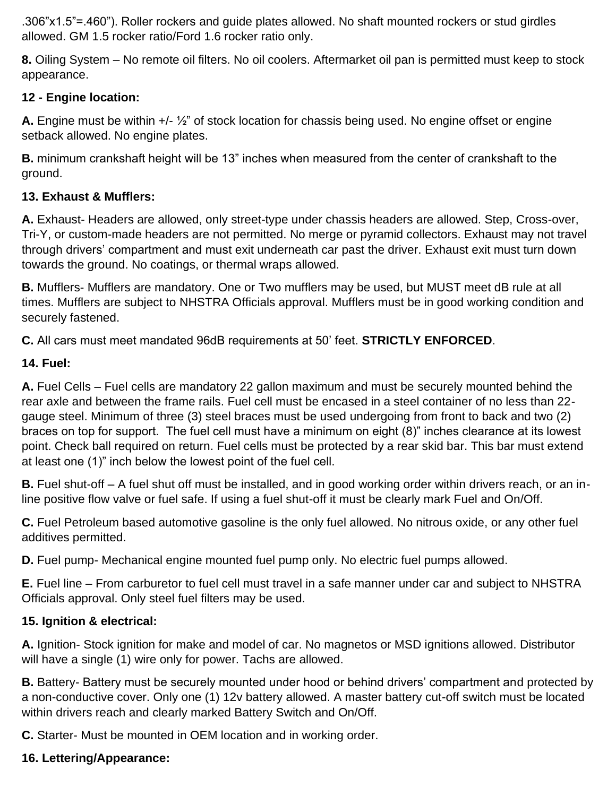.306"x1.5"=.460"). Roller rockers and guide plates allowed. No shaft mounted rockers or stud girdles allowed. GM 1.5 rocker ratio/Ford 1.6 rocker ratio only.

**8.** Oiling System – No remote oil filters. No oil coolers. Aftermarket oil pan is permitted must keep to stock appearance.

## **12 - Engine location:**

**A.** Engine must be within +/- ½" of stock location for chassis being used. No engine offset or engine setback allowed. No engine plates.

**B.** minimum crankshaft height will be 13" inches when measured from the center of crankshaft to the ground.

#### **13. Exhaust & Mufflers:**

**A.** Exhaust- Headers are allowed, only street-type under chassis headers are allowed. Step, Cross-over, Tri-Y, or custom-made headers are not permitted. No merge or pyramid collectors. Exhaust may not travel through drivers' compartment and must exit underneath car past the driver. Exhaust exit must turn down towards the ground. No coatings, or thermal wraps allowed.

**B.** Mufflers- Mufflers are mandatory. One or Two mufflers may be used, but MUST meet dB rule at all times. Mufflers are subject to NHSTRA Officials approval. Mufflers must be in good working condition and securely fastened.

**C.** All cars must meet mandated 96dB requirements at 50' feet. **STRICTLY ENFORCED**.

#### **14. Fuel:**

**A.** Fuel Cells – Fuel cells are mandatory 22 gallon maximum and must be securely mounted behind the rear axle and between the frame rails. Fuel cell must be encased in a steel container of no less than 22 gauge steel. Minimum of three (3) steel braces must be used undergoing from front to back and two (2) braces on top for support. The fuel cell must have a minimum on eight (8)" inches clearance at its lowest point. Check ball required on return. Fuel cells must be protected by a rear skid bar. This bar must extend at least one (1)" inch below the lowest point of the fuel cell.

**B.** Fuel shut-off – A fuel shut off must be installed, and in good working order within drivers reach, or an inline positive flow valve or fuel safe. If using a fuel shut-off it must be clearly mark Fuel and On/Off.

**C.** Fuel Petroleum based automotive gasoline is the only fuel allowed. No nitrous oxide, or any other fuel additives permitted.

**D.** Fuel pump- Mechanical engine mounted fuel pump only. No electric fuel pumps allowed.

**E.** Fuel line – From carburetor to fuel cell must travel in a safe manner under car and subject to NHSTRA Officials approval. Only steel fuel filters may be used.

## **15. Ignition & electrical:**

**A.** Ignition- Stock ignition for make and model of car. No magnetos or MSD ignitions allowed. Distributor will have a single (1) wire only for power. Tachs are allowed.

**B.** Battery- Battery must be securely mounted under hood or behind drivers' compartment and protected by a non-conductive cover. Only one (1) 12v battery allowed. A master battery cut-off switch must be located within drivers reach and clearly marked Battery Switch and On/Off.

**C.** Starter- Must be mounted in OEM location and in working order.

## **16. Lettering/Appearance:**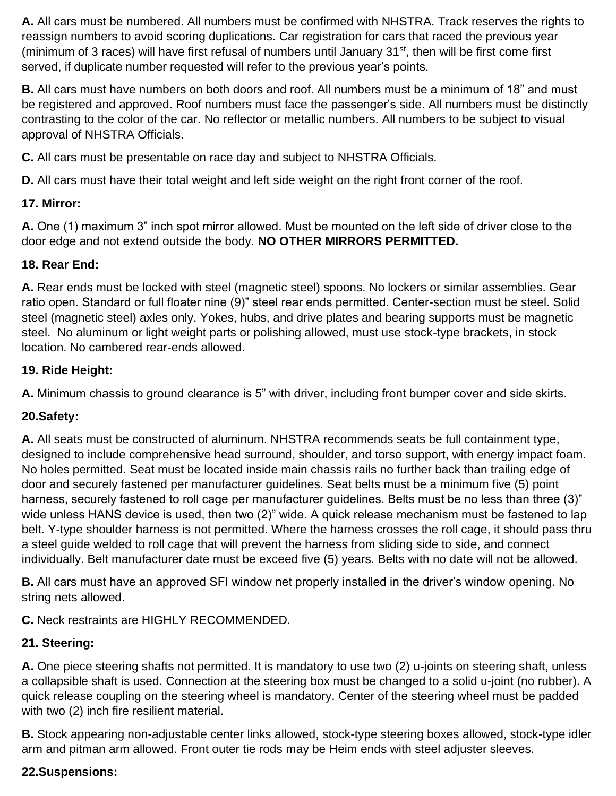**A.** All cars must be numbered. All numbers must be confirmed with NHSTRA. Track reserves the rights to reassign numbers to avoid scoring duplications. Car registration for cars that raced the previous year (minimum of 3 races) will have first refusal of numbers until January 31<sup>st</sup>, then will be first come first served, if duplicate number requested will refer to the previous year's points.

**B.** All cars must have numbers on both doors and roof. All numbers must be a minimum of 18" and must be registered and approved. Roof numbers must face the passenger's side. All numbers must be distinctly contrasting to the color of the car. No reflector or metallic numbers. All numbers to be subject to visual approval of NHSTRA Officials.

**C.** All cars must be presentable on race day and subject to NHSTRA Officials.

**D.** All cars must have their total weight and left side weight on the right front corner of the roof.

## **17. Mirror:**

**A.** One (1) maximum 3" inch spot mirror allowed. Must be mounted on the left side of driver close to the door edge and not extend outside the body. **NO OTHER MIRRORS PERMITTED.**

## **18. Rear End:**

**A.** Rear ends must be locked with steel (magnetic steel) spoons. No lockers or similar assemblies. Gear ratio open. Standard or full floater nine (9)" steel rear ends permitted. Center-section must be steel. Solid steel (magnetic steel) axles only. Yokes, hubs, and drive plates and bearing supports must be magnetic steel. No aluminum or light weight parts or polishing allowed, must use stock-type brackets, in stock location. No cambered rear-ends allowed.

## **19. Ride Height:**

**A.** Minimum chassis to ground clearance is 5" with driver, including front bumper cover and side skirts.

# **20.Safety:**

**A.** All seats must be constructed of aluminum. NHSTRA recommends seats be full containment type, designed to include comprehensive head surround, shoulder, and torso support, with energy impact foam. No holes permitted. Seat must be located inside main chassis rails no further back than trailing edge of door and securely fastened per manufacturer guidelines. Seat belts must be a minimum five (5) point harness, securely fastened to roll cage per manufacturer guidelines. Belts must be no less than three (3)" wide unless HANS device is used, then two (2)" wide. A quick release mechanism must be fastened to lap belt. Y-type shoulder harness is not permitted. Where the harness crosses the roll cage, it should pass thru a steel guide welded to roll cage that will prevent the harness from sliding side to side, and connect individually. Belt manufacturer date must be exceed five (5) years. Belts with no date will not be allowed.

**B.** All cars must have an approved SFI window net properly installed in the driver's window opening. No string nets allowed.

**C.** Neck restraints are HIGHLY RECOMMENDED.

# **21. Steering:**

**A.** One piece steering shafts not permitted. It is mandatory to use two (2) u-joints on steering shaft, unless a collapsible shaft is used. Connection at the steering box must be changed to a solid u-joint (no rubber). A quick release coupling on the steering wheel is mandatory. Center of the steering wheel must be padded with two (2) inch fire resilient material.

**B.** Stock appearing non-adjustable center links allowed, stock-type steering boxes allowed, stock-type idler arm and pitman arm allowed. Front outer tie rods may be Heim ends with steel adjuster sleeves.

# **22.Suspensions:**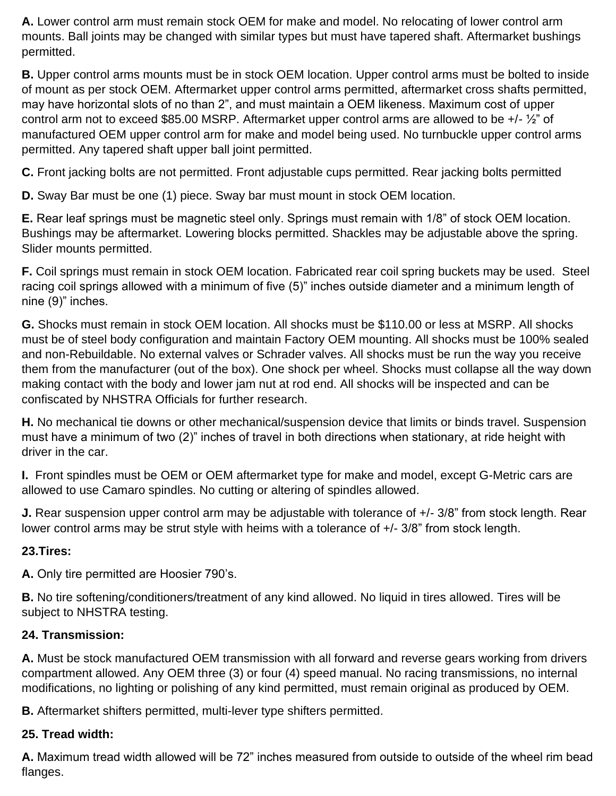**A.** Lower control arm must remain stock OEM for make and model. No relocating of lower control arm mounts. Ball joints may be changed with similar types but must have tapered shaft. Aftermarket bushings permitted.

**B.** Upper control arms mounts must be in stock OEM location. Upper control arms must be bolted to inside of mount as per stock OEM. Aftermarket upper control arms permitted, aftermarket cross shafts permitted, may have horizontal slots of no than 2", and must maintain a OEM likeness. Maximum cost of upper control arm not to exceed \$85.00 MSRP. Aftermarket upper control arms are allowed to be +/- ½" of manufactured OEM upper control arm for make and model being used. No turnbuckle upper control arms permitted. Any tapered shaft upper ball joint permitted.

**C.** Front jacking bolts are not permitted. Front adjustable cups permitted. Rear jacking bolts permitted

**D.** Sway Bar must be one (1) piece. Sway bar must mount in stock OEM location.

**E.** Rear leaf springs must be magnetic steel only. Springs must remain with 1/8" of stock OEM location. Bushings may be aftermarket. Lowering blocks permitted. Shackles may be adjustable above the spring. Slider mounts permitted.

**F.** Coil springs must remain in stock OEM location. Fabricated rear coil spring buckets may be used. Steel racing coil springs allowed with a minimum of five (5)" inches outside diameter and a minimum length of nine (9)" inches.

**G.** Shocks must remain in stock OEM location. All shocks must be \$110.00 or less at MSRP. All shocks must be of steel body configuration and maintain Factory OEM mounting. All shocks must be 100% sealed and non-Rebuildable. No external valves or Schrader valves. All shocks must be run the way you receive them from the manufacturer (out of the box). One shock per wheel. Shocks must collapse all the way down making contact with the body and lower jam nut at rod end. All shocks will be inspected and can be confiscated by NHSTRA Officials for further research.

**H.** No mechanical tie downs or other mechanical/suspension device that limits or binds travel. Suspension must have a minimum of two (2)" inches of travel in both directions when stationary, at ride height with driver in the car.

**I.** Front spindles must be OEM or OEM aftermarket type for make and model, except G-Metric cars are allowed to use Camaro spindles. No cutting or altering of spindles allowed.

**J.** Rear suspension upper control arm may be adjustable with tolerance of +/- 3/8" from stock length. Rear lower control arms may be strut style with heims with a tolerance of +/- 3/8" from stock length.

## **23.Tires:**

**A.** Only tire permitted are Hoosier 790's.

**B.** No tire softening/conditioners/treatment of any kind allowed. No liquid in tires allowed. Tires will be subject to NHSTRA testing.

## **24. Transmission:**

**A.** Must be stock manufactured OEM transmission with all forward and reverse gears working from drivers compartment allowed. Any OEM three (3) or four (4) speed manual. No racing transmissions, no internal modifications, no lighting or polishing of any kind permitted, must remain original as produced by OEM.

**B.** Aftermarket shifters permitted, multi-lever type shifters permitted.

# **25. Tread width:**

**A.** Maximum tread width allowed will be 72" inches measured from outside to outside of the wheel rim bead flanges.